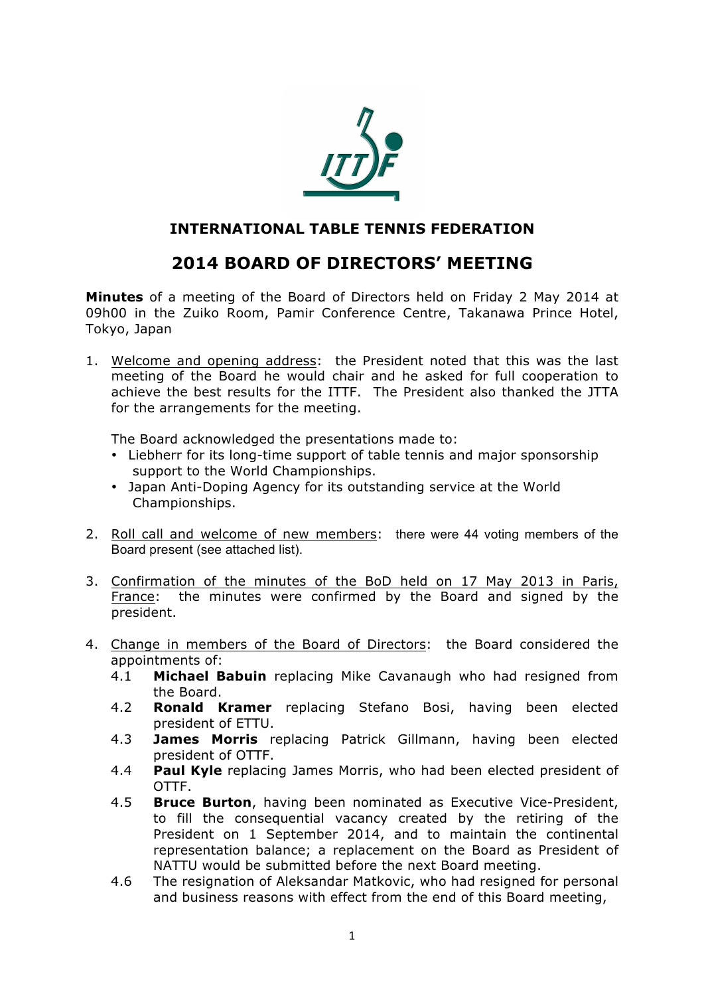

# **INTERNATIONAL TABLE TENNIS FEDERATION**

# **2014 BOARD OF DIRECTORS' MEETING**

**Minutes** of a meeting of the Board of Directors held on Friday 2 May 2014 at 09h00 in the Zuiko Room, Pamir Conference Centre, Takanawa Prince Hotel, Tokyo, Japan

1. Welcome and opening address: the President noted that this was the last meeting of the Board he would chair and he asked for full cooperation to achieve the best results for the ITTF. The President also thanked the JTTA for the arrangements for the meeting.

The Board acknowledged the presentations made to:

- Liebherr for its long-time support of table tennis and major sponsorship support to the World Championships.
- Japan Anti-Doping Agency for its outstanding service at the World Championships.
- 2. Roll call and welcome of new members: there were 44 voting members of the Board present (see attached list).
- 3. Confirmation of the minutes of the BoD held on 17 May 2013 in Paris, France: the minutes were confirmed by the Board and signed by the president.
- 4. Change in members of the Board of Directors: the Board considered the appointments of:
	- 4.1 **Michael Babuin** replacing Mike Cavanaugh who had resigned from the Board.
	- 4.2 **Ronald Kramer** replacing Stefano Bosi, having been elected president of ETTU.
	- 4.3 **James Morris** replacing Patrick Gillmann, having been elected president of OTTF.
	- 4.4 **Paul Kyle** replacing James Morris, who had been elected president of OTTF.
	- 4.5 **Bruce Burton**, having been nominated as Executive Vice-President, to fill the consequential vacancy created by the retiring of the President on 1 September 2014, and to maintain the continental representation balance; a replacement on the Board as President of NATTU would be submitted before the next Board meeting.
	- 4.6 The resignation of Aleksandar Matkovic, who had resigned for personal and business reasons with effect from the end of this Board meeting,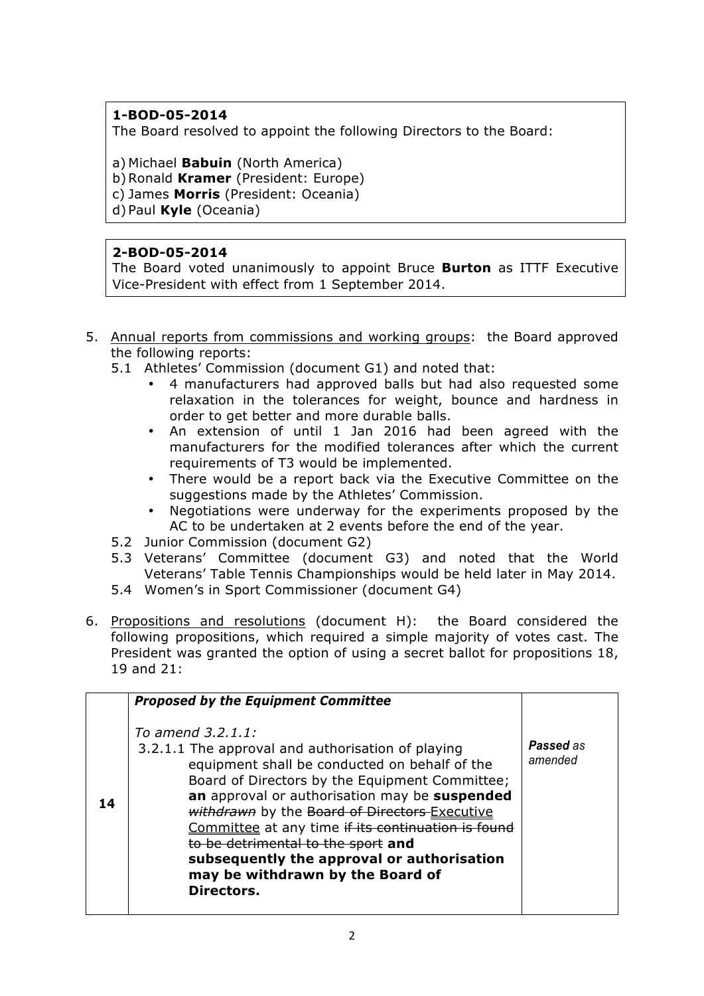# **1-BOD-05-2014**

The Board resolved to appoint the following Directors to the Board:

a) Michael **Babuin** (North America)

b)Ronald **Kramer** (President: Europe)

c) James **Morris** (President: Oceania)

d) Paul **Kyle** (Oceania)

## **2-BOD-05-2014**

The Board voted unanimously to appoint Bruce **Burton** as ITTF Executive Vice-President with effect from 1 September 2014.

- 5. Annual reports from commissions and working groups: the Board approved the following reports:
	- 5.1 Athletes' Commission (document G1) and noted that:
		- 4 manufacturers had approved balls but had also requested some relaxation in the tolerances for weight, bounce and hardness in order to get better and more durable balls.
		- An extension of until 1 Jan 2016 had been agreed with the manufacturers for the modified tolerances after which the current requirements of T3 would be implemented.
		- There would be a report back via the Executive Committee on the suggestions made by the Athletes' Commission.
		- Negotiations were underway for the experiments proposed by the AC to be undertaken at 2 events before the end of the year.
	- 5.2 Junior Commission (document G2)
	- 5.3 Veterans' Committee (document G3) and noted that the World Veterans' Table Tennis Championships would be held later in May 2014.
	- 5.4 Women's in Sport Commissioner (document G4)
- 6. Propositions and resolutions (document H): the Board considered the following propositions, which required a simple majority of votes cast. The President was granted the option of using a secret ballot for propositions 18, 19 and 21:

|    | <b>Proposed by the Equipment Committee</b>                                                                                                                                                                                                                                                                                                                                                                                                                              |                      |
|----|-------------------------------------------------------------------------------------------------------------------------------------------------------------------------------------------------------------------------------------------------------------------------------------------------------------------------------------------------------------------------------------------------------------------------------------------------------------------------|----------------------|
| 14 | To amend 3.2.1.1:<br>3.2.1.1 The approval and authorisation of playing<br>equipment shall be conducted on behalf of the<br>Board of Directors by the Equipment Committee;<br>an approval or authorisation may be suspended<br>withdrawn by the Board of Directors Executive<br>Committee at any time if its continuation is found<br>to be detrimental to the sport and<br>subsequently the approval or authorisation<br>may be withdrawn by the Board of<br>Directors. | Passed as<br>amended |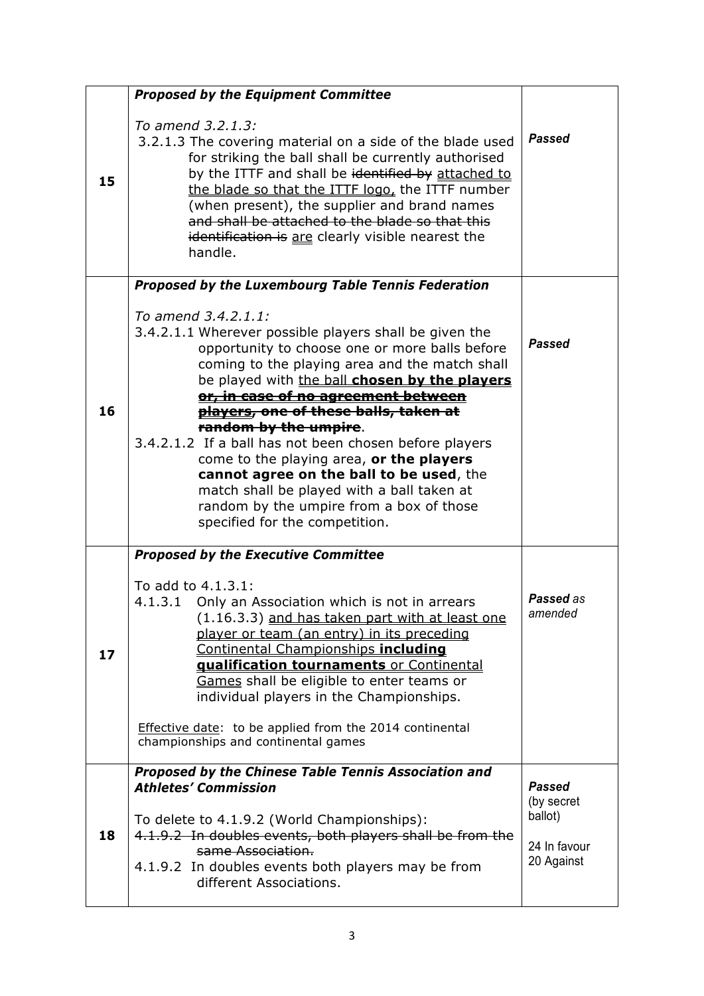|    | <b>Proposed by the Equipment Committee</b>                                                                                                                                                                                                                                                                                                                                                                                                                                                                                                                                                                                           |                                                                      |
|----|--------------------------------------------------------------------------------------------------------------------------------------------------------------------------------------------------------------------------------------------------------------------------------------------------------------------------------------------------------------------------------------------------------------------------------------------------------------------------------------------------------------------------------------------------------------------------------------------------------------------------------------|----------------------------------------------------------------------|
| 15 | To amend 3.2.1.3:<br>3.2.1.3 The covering material on a side of the blade used<br>for striking the ball shall be currently authorised<br>by the ITTF and shall be identified by attached to<br>the blade so that the ITTF logo, the ITTF number<br>(when present), the supplier and brand names<br>and shall be attached to the blade so that this<br>identification is are clearly visible nearest the<br>handle.                                                                                                                                                                                                                   | <b>Passed</b>                                                        |
|    | Proposed by the Luxembourg Table Tennis Federation                                                                                                                                                                                                                                                                                                                                                                                                                                                                                                                                                                                   |                                                                      |
| 16 | To amend 3.4.2.1.1:<br>3.4.2.1.1 Wherever possible players shall be given the<br>opportunity to choose one or more balls before<br>coming to the playing area and the match shall<br>be played with the ball chosen by the players<br>or, in case of no agreement between<br><del>players, one of these balls, taken at</del><br>random by the umpire.<br>3.4.2.1.2 If a ball has not been chosen before players<br>come to the playing area, or the players<br>cannot agree on the ball to be used, the<br>match shall be played with a ball taken at<br>random by the umpire from a box of those<br>specified for the competition. | <b>Passed</b>                                                        |
| 17 | <b>Proposed by the Executive Committee</b><br>To add to 4.1.3.1:<br>4.1.3.1 Only an Association which is not in arrears<br>(1.16.3.3) and has taken part with at least one<br>player or team (an entry) in its preceding<br>Continental Championships including<br>qualification tournaments or Continental<br>Games shall be eligible to enter teams or<br>individual players in the Championships.<br>Effective date: to be applied from the 2014 continental<br>championships and continental games                                                                                                                               | <b>Passed</b> as<br>amended                                          |
| 18 | Proposed by the Chinese Table Tennis Association and<br><b>Athletes' Commission</b><br>To delete to 4.1.9.2 (World Championships):<br>4.1.9.2 In doubles events, both players shall be from the<br>same Association.<br>4.1.9.2 In doubles events both players may be from<br>different Associations.                                                                                                                                                                                                                                                                                                                                | <b>Passed</b><br>(by secret<br>ballot)<br>24 In favour<br>20 Against |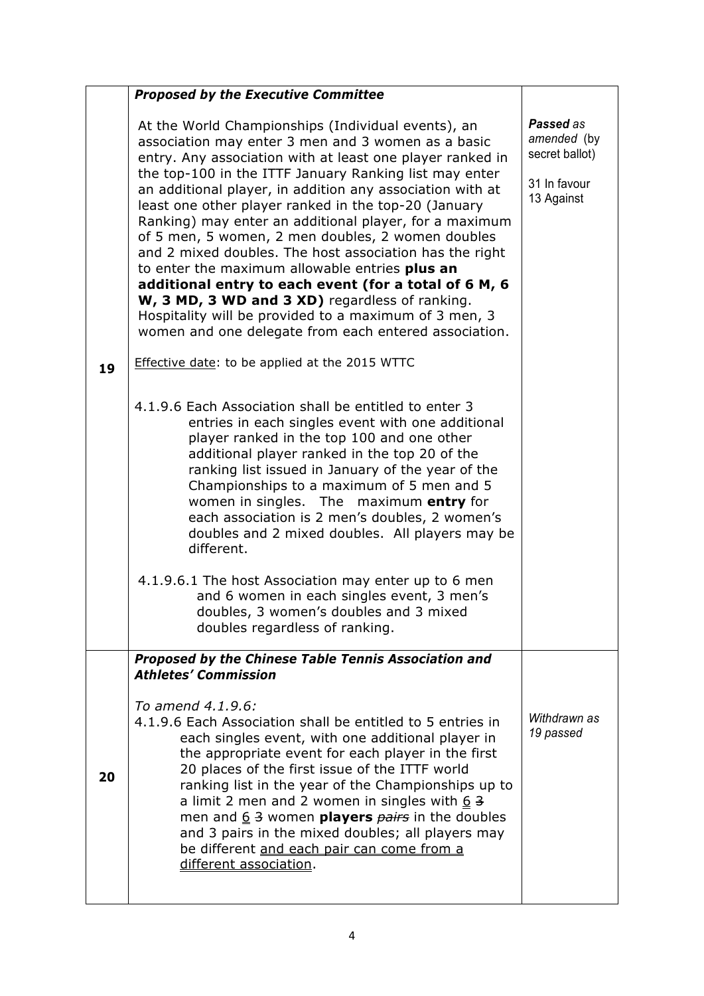|    | <b>Proposed by the Executive Committee</b>                                                                                                                                                                                                                                                                                                                                                                                                                                                                                                                                                                                                                                                                                                                                                                    |                                                                          |
|----|---------------------------------------------------------------------------------------------------------------------------------------------------------------------------------------------------------------------------------------------------------------------------------------------------------------------------------------------------------------------------------------------------------------------------------------------------------------------------------------------------------------------------------------------------------------------------------------------------------------------------------------------------------------------------------------------------------------------------------------------------------------------------------------------------------------|--------------------------------------------------------------------------|
|    | At the World Championships (Individual events), an<br>association may enter 3 men and 3 women as a basic<br>entry. Any association with at least one player ranked in<br>the top-100 in the ITTF January Ranking list may enter<br>an additional player, in addition any association with at<br>least one other player ranked in the top-20 (January<br>Ranking) may enter an additional player, for a maximum<br>of 5 men, 5 women, 2 men doubles, 2 women doubles<br>and 2 mixed doubles. The host association has the right<br>to enter the maximum allowable entries plus an<br>additional entry to each event (for a total of 6 M, 6<br>W, 3 MD, 3 WD and 3 XD) regardless of ranking.<br>Hospitality will be provided to a maximum of 3 men, 3<br>women and one delegate from each entered association. | Passed as<br>amended (by<br>secret ballot)<br>31 In favour<br>13 Against |
| 19 | Effective date: to be applied at the 2015 WTTC                                                                                                                                                                                                                                                                                                                                                                                                                                                                                                                                                                                                                                                                                                                                                                |                                                                          |
|    | 4.1.9.6 Each Association shall be entitled to enter 3<br>entries in each singles event with one additional<br>player ranked in the top 100 and one other<br>additional player ranked in the top 20 of the<br>ranking list issued in January of the year of the<br>Championships to a maximum of 5 men and 5<br>women in singles. The maximum entry for<br>each association is 2 men's doubles, 2 women's<br>doubles and 2 mixed doubles. All players may be<br>different.<br>4.1.9.6.1 The host Association may enter up to 6 men<br>and 6 women in each singles event, 3 men's<br>doubles, 3 women's doubles and 3 mixed<br>doubles regardless of ranking.                                                                                                                                                   |                                                                          |
|    | Proposed by the Chinese Table Tennis Association and                                                                                                                                                                                                                                                                                                                                                                                                                                                                                                                                                                                                                                                                                                                                                          |                                                                          |
| 20 | <b>Athletes' Commission</b><br>To amend 4.1.9.6:<br>4.1.9.6 Each Association shall be entitled to 5 entries in<br>each singles event, with one additional player in<br>the appropriate event for each player in the first<br>20 places of the first issue of the ITTF world<br>ranking list in the year of the Championships up to<br>a limit 2 men and 2 women in singles with $6\overline{3}$<br>men and $6/3$ women players $pairs$ in the doubles<br>and 3 pairs in the mixed doubles; all players may<br>be different and each pair can come from a<br>different association.                                                                                                                                                                                                                            | Withdrawn as<br>19 passed                                                |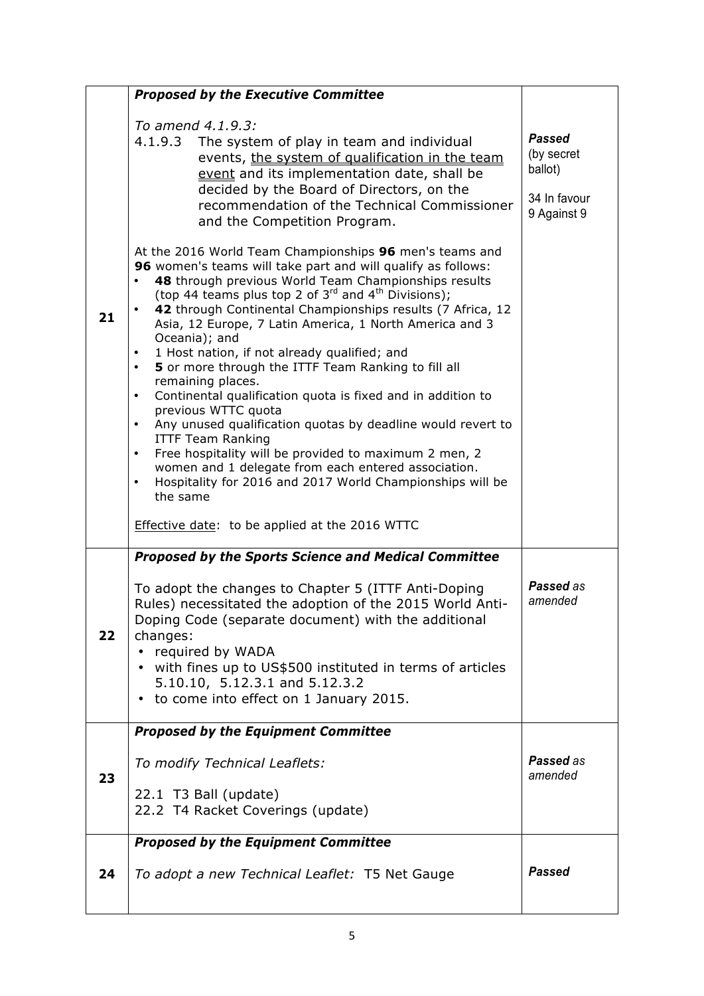|    | <b>Proposed by the Executive Committee</b>                                                                                                                                                                                                                                                                                                                                                                                                                                                                                                            |                                                                       |
|----|-------------------------------------------------------------------------------------------------------------------------------------------------------------------------------------------------------------------------------------------------------------------------------------------------------------------------------------------------------------------------------------------------------------------------------------------------------------------------------------------------------------------------------------------------------|-----------------------------------------------------------------------|
|    | To amend 4.1.9.3:<br>4.1.9.3 The system of play in team and individual<br>events, the system of qualification in the team<br>event and its implementation date, shall be<br>decided by the Board of Directors, on the<br>recommendation of the Technical Commissioner<br>and the Competition Program.                                                                                                                                                                                                                                                 | <b>Passed</b><br>(by secret<br>ballot)<br>34 In favour<br>9 Against 9 |
| 21 | At the 2016 World Team Championships 96 men's teams and<br>96 women's teams will take part and will qualify as follows:<br>48 through previous World Team Championships results<br>(top 44 teams plus top 2 of $3^{rd}$ and $4^{th}$ Divisions);<br>42 through Continental Championships results (7 Africa, 12<br>٠<br>Asia, 12 Europe, 7 Latin America, 1 North America and 3<br>Oceania); and<br>1 Host nation, if not already qualified; and<br>$\bullet$<br>5 or more through the ITTF Team Ranking to fill all<br>$\bullet$<br>remaining places. |                                                                       |
|    | Continental qualification quota is fixed and in addition to<br>$\bullet$<br>previous WTTC quota<br>Any unused qualification quotas by deadline would revert to<br>$\bullet$<br><b>ITTF Team Ranking</b><br>Free hospitality will be provided to maximum 2 men, 2<br>$\bullet$<br>women and 1 delegate from each entered association.<br>Hospitality for 2016 and 2017 World Championships will be<br>$\bullet$<br>the same                                                                                                                            |                                                                       |
|    | Effective date: to be applied at the 2016 WTTC                                                                                                                                                                                                                                                                                                                                                                                                                                                                                                        |                                                                       |
| 22 | <b>Proposed by the Sports Science and Medical Committee</b><br>To adopt the changes to Chapter 5 (ITTF Anti-Doping<br>Rules) necessitated the adoption of the 2015 World Anti-<br>Doping Code (separate document) with the additional<br>changes:<br>required by WADA<br>• with fines up to US\$500 instituted in terms of articles<br>5.10.10, 5.12.3.1 and 5.12.3.2<br>to come into effect on 1 January 2015.<br>$\bullet$                                                                                                                          | Passed as<br>amended                                                  |
|    | <b>Proposed by the Equipment Committee</b>                                                                                                                                                                                                                                                                                                                                                                                                                                                                                                            |                                                                       |
| 23 | To modify Technical Leaflets:                                                                                                                                                                                                                                                                                                                                                                                                                                                                                                                         | Passed as<br>amended                                                  |
|    | 22.1 T3 Ball (update)<br>22.2 T4 Racket Coverings (update)                                                                                                                                                                                                                                                                                                                                                                                                                                                                                            |                                                                       |
|    | <b>Proposed by the Equipment Committee</b>                                                                                                                                                                                                                                                                                                                                                                                                                                                                                                            |                                                                       |
| 24 | To adopt a new Technical Leaflet: T5 Net Gauge                                                                                                                                                                                                                                                                                                                                                                                                                                                                                                        | <b>Passed</b>                                                         |
|    |                                                                                                                                                                                                                                                                                                                                                                                                                                                                                                                                                       |                                                                       |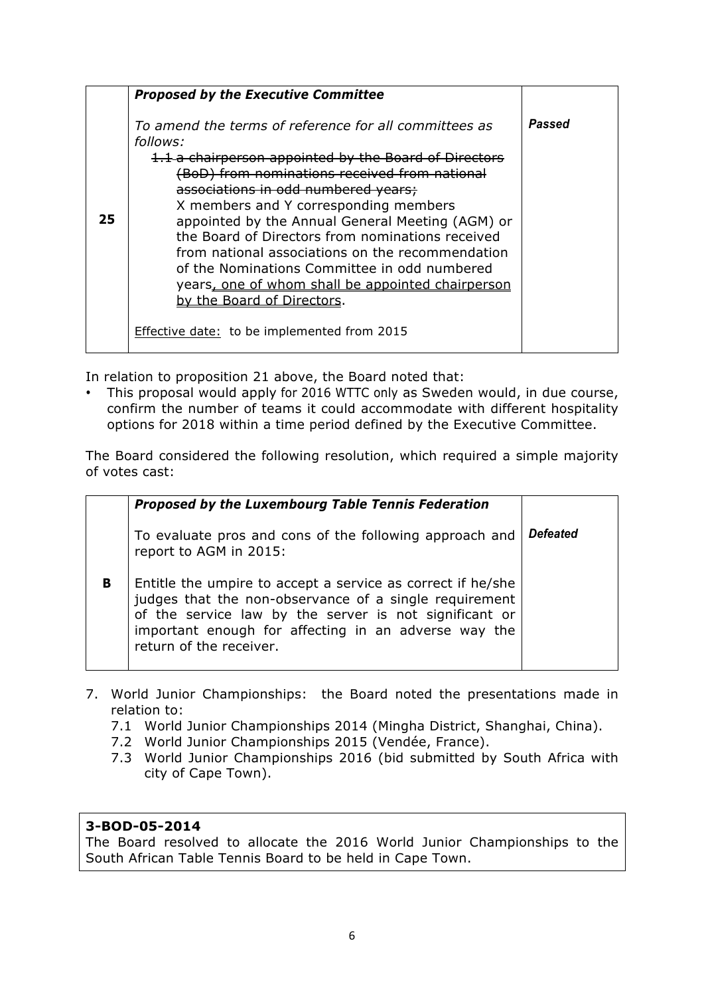|    | <b>Proposed by the Executive Committee</b>                                                                                                                                                                                                                                                                                                                                                                                                                                                                                                                                                                |        |
|----|-----------------------------------------------------------------------------------------------------------------------------------------------------------------------------------------------------------------------------------------------------------------------------------------------------------------------------------------------------------------------------------------------------------------------------------------------------------------------------------------------------------------------------------------------------------------------------------------------------------|--------|
| 25 | To amend the terms of reference for all committees as<br>follows:<br>1.1 a chairperson appointed by the Board of Directors<br>(BoD) from nominations received from national<br>associations in odd numbered years;<br>X members and Y corresponding members<br>appointed by the Annual General Meeting (AGM) or<br>the Board of Directors from nominations received<br>from national associations on the recommendation<br>of the Nominations Committee in odd numbered<br>years, one of whom shall be appointed chairperson<br>by the Board of Directors.<br>Effective date: to be implemented from 2015 | Passed |

In relation to proposition 21 above, the Board noted that:

• This proposal would apply for 2016 WTTC only as Sweden would, in due course, confirm the number of teams it could accommodate with different hospitality options for 2018 within a time period defined by the Executive Committee.

The Board considered the following resolution, which required a simple majority of votes cast:

|   | <b>Proposed by the Luxembourg Table Tennis Federation</b>                                                                                                                                                                                                          |                 |
|---|--------------------------------------------------------------------------------------------------------------------------------------------------------------------------------------------------------------------------------------------------------------------|-----------------|
|   | To evaluate pros and cons of the following approach and<br>report to AGM in 2015:                                                                                                                                                                                  | <b>Defeated</b> |
| B | Entitle the umpire to accept a service as correct if he/she<br>judges that the non-observance of a single requirement<br>of the service law by the server is not significant or<br>important enough for affecting in an adverse way the<br>return of the receiver. |                 |

- 7. World Junior Championships: the Board noted the presentations made in relation to:
	- 7.1 World Junior Championships 2014 (Mingha District, Shanghai, China).
	- 7.2 World Junior Championships 2015 (Vendée, France).
	- 7.3 World Junior Championships 2016 (bid submitted by South Africa with city of Cape Town).

## **3-BOD-05-2014**

The Board resolved to allocate the 2016 World Junior Championships to the South African Table Tennis Board to be held in Cape Town.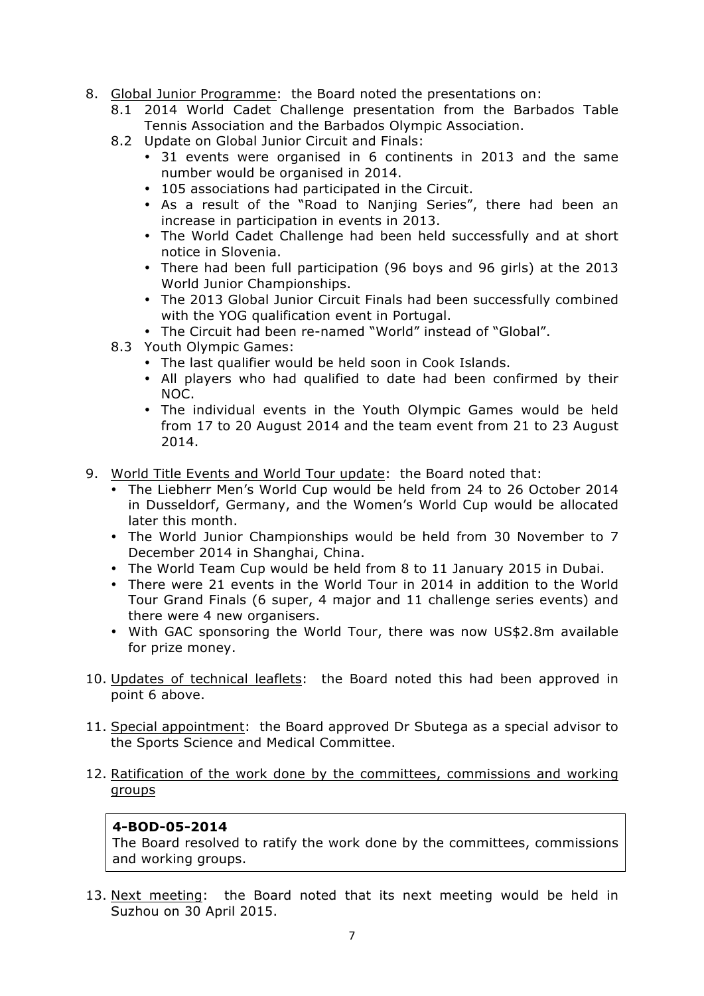- 8. Global Junior Programme: the Board noted the presentations on:
	- 8.1 2014 World Cadet Challenge presentation from the Barbados Table Tennis Association and the Barbados Olympic Association.
	- 8.2 Update on Global Junior Circuit and Finals:
		- 31 events were organised in 6 continents in 2013 and the same number would be organised in 2014.
		- 105 associations had participated in the Circuit.
		- As a result of the "Road to Nanjing Series", there had been an increase in participation in events in 2013.
		- The World Cadet Challenge had been held successfully and at short notice in Slovenia.
		- There had been full participation (96 boys and 96 girls) at the 2013 World Junior Championships.
		- The 2013 Global Junior Circuit Finals had been successfully combined with the YOG qualification event in Portugal.
		- The Circuit had been re-named "World" instead of "Global".
	- 8.3 Youth Olympic Games:
		- The last qualifier would be held soon in Cook Islands.
		- All players who had qualified to date had been confirmed by their NOC.
		- The individual events in the Youth Olympic Games would be held from 17 to 20 August 2014 and the team event from 21 to 23 August 2014.
- 9. World Title Events and World Tour update: the Board noted that:
	- The Liebherr Men's World Cup would be held from 24 to 26 October 2014 in Dusseldorf, Germany, and the Women's World Cup would be allocated later this month.
	- The World Junior Championships would be held from 30 November to 7 December 2014 in Shanghai, China.
	- The World Team Cup would be held from 8 to 11 January 2015 in Dubai.
	- There were 21 events in the World Tour in 2014 in addition to the World Tour Grand Finals (6 super, 4 major and 11 challenge series events) and there were 4 new organisers.
	- With GAC sponsoring the World Tour, there was now US\$2.8m available for prize money.
- 10. Updates of technical leaflets: the Board noted this had been approved in point 6 above.
- 11. Special appointment: the Board approved Dr Sbutega as a special advisor to the Sports Science and Medical Committee.
- 12. Ratification of the work done by the committees, commissions and working groups

#### **4-BOD-05-2014**

The Board resolved to ratify the work done by the committees, commissions and working groups.

13. Next meeting: the Board noted that its next meeting would be held in Suzhou on 30 April 2015.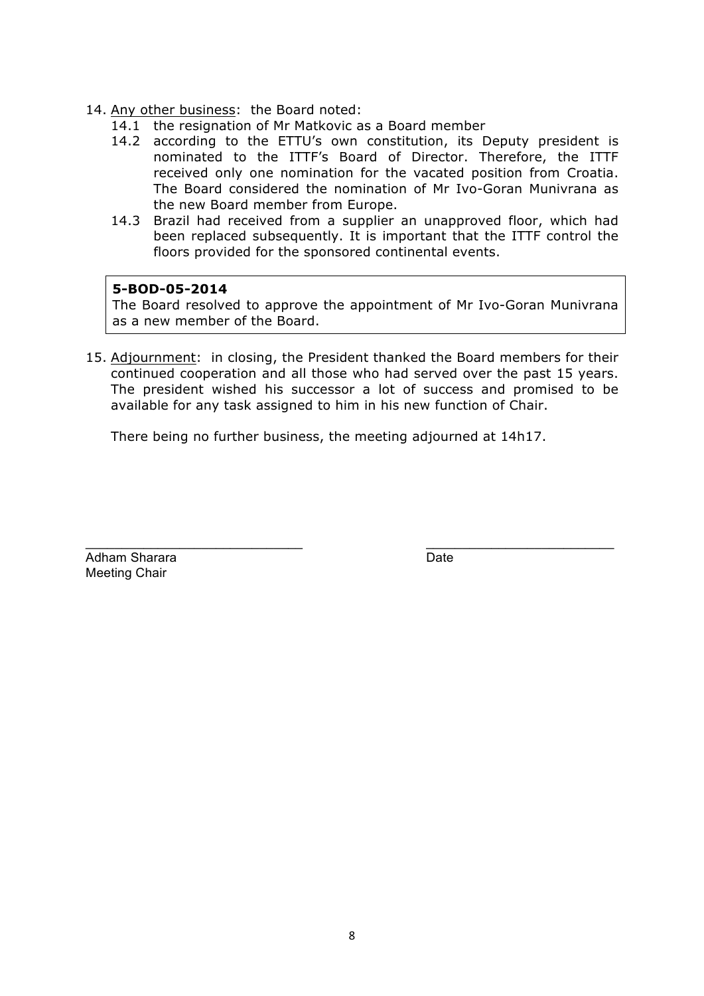- 14. Any other business: the Board noted:
	- 14.1 the resignation of Mr Matkovic as a Board member
	- 14.2 according to the ETTU's own constitution, its Deputy president is nominated to the ITTF's Board of Director. Therefore, the ITTF received only one nomination for the vacated position from Croatia. The Board considered the nomination of Mr Ivo-Goran Munivrana as the new Board member from Europe.
	- 14.3 Brazil had received from a supplier an unapproved floor, which had been replaced subsequently. It is important that the ITTF control the floors provided for the sponsored continental events.

#### **5-BOD-05-2014**

The Board resolved to approve the appointment of Mr Ivo-Goran Munivrana as a new member of the Board.

15. Adjournment: in closing, the President thanked the Board members for their continued cooperation and all those who had served over the past 15 years. The president wished his successor a lot of success and promised to be available for any task assigned to him in his new function of Chair.

 $\_$  , and the set of the set of the set of the set of the set of the set of the set of the set of the set of the set of the set of the set of the set of the set of the set of the set of the set of the set of the set of th

There being no further business, the meeting adjourned at 14h17.

Adham Sharara **Date** Date **Date** Meeting Chair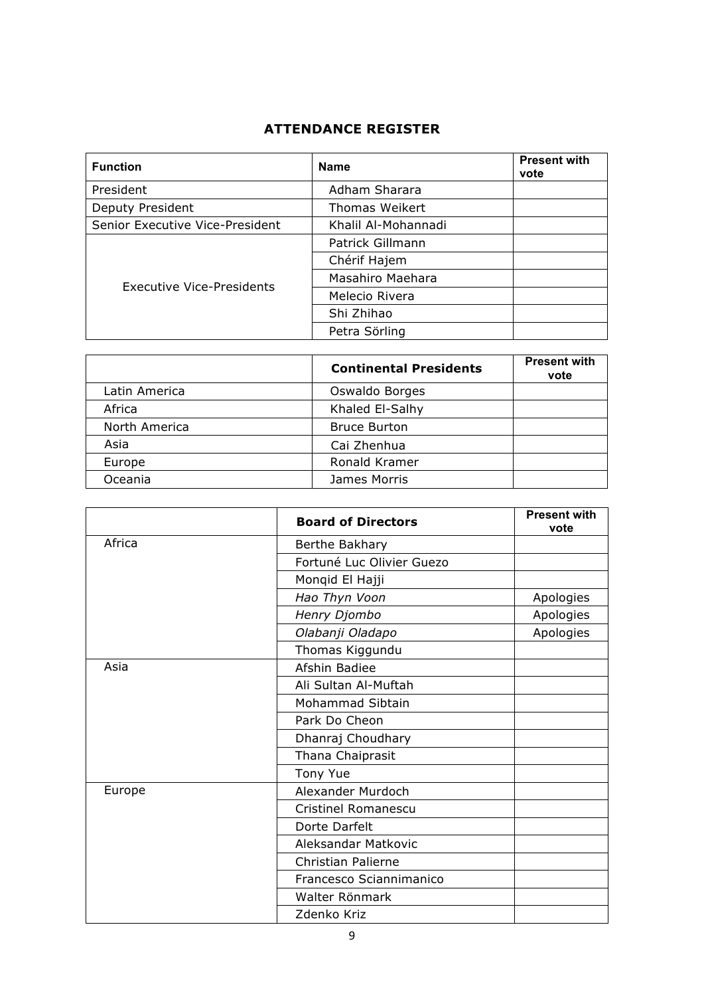# **ATTENDANCE REGISTER**

| <b>Function</b>                 | <b>Name</b>         | <b>Present with</b><br>vote |
|---------------------------------|---------------------|-----------------------------|
| President                       | Adham Sharara       |                             |
| Deputy President                | Thomas Weikert      |                             |
| Senior Executive Vice-President | Khalil Al-Mohannadi |                             |
|                                 | Patrick Gillmann    |                             |
| Executive Vice-Presidents       | Chérif Hajem        |                             |
|                                 | Masahiro Maehara    |                             |
|                                 | Melecio Rivera      |                             |
|                                 | Shi Zhihao          |                             |
|                                 | Petra Sörling       |                             |

|               | <b>Continental Presidents</b> | <b>Present with</b><br>vote |
|---------------|-------------------------------|-----------------------------|
| Latin America | Oswaldo Borges                |                             |
| Africa        | Khaled El-Salhy               |                             |
| North America | <b>Bruce Burton</b>           |                             |
| Asia          | Cai Zhenhua                   |                             |
| Europe        | Ronald Kramer                 |                             |
| Oceania       | James Morris                  |                             |

|        | <b>Board of Directors</b>  | <b>Present with</b><br>vote |
|--------|----------------------------|-----------------------------|
| Africa | Berthe Bakhary             |                             |
|        | Fortuné Luc Olivier Guezo  |                             |
|        | Monqid El Hajji            |                             |
|        | Hao Thyn Voon              | Apologies                   |
|        | Henry Djombo               | Apologies                   |
|        | Olabanji Oladapo           | Apologies                   |
|        | Thomas Kiggundu            |                             |
| Asia   | Afshin Badiee              |                             |
|        | Ali Sultan Al-Muftah       |                             |
|        | Mohammad Sibtain           |                             |
|        | Park Do Cheon              |                             |
|        | Dhanraj Choudhary          |                             |
|        | Thana Chaiprasit           |                             |
|        | <b>Tony Yue</b>            |                             |
| Europe | Alexander Murdoch          |                             |
|        | <b>Cristinel Romanescu</b> |                             |
|        | Dorte Darfelt              |                             |
|        | Aleksandar Matkovic        |                             |
|        | Christian Palierne         |                             |
|        | Francesco Sciannimanico    |                             |
|        | Walter Rönmark             |                             |
|        | Zdenko Kriz                |                             |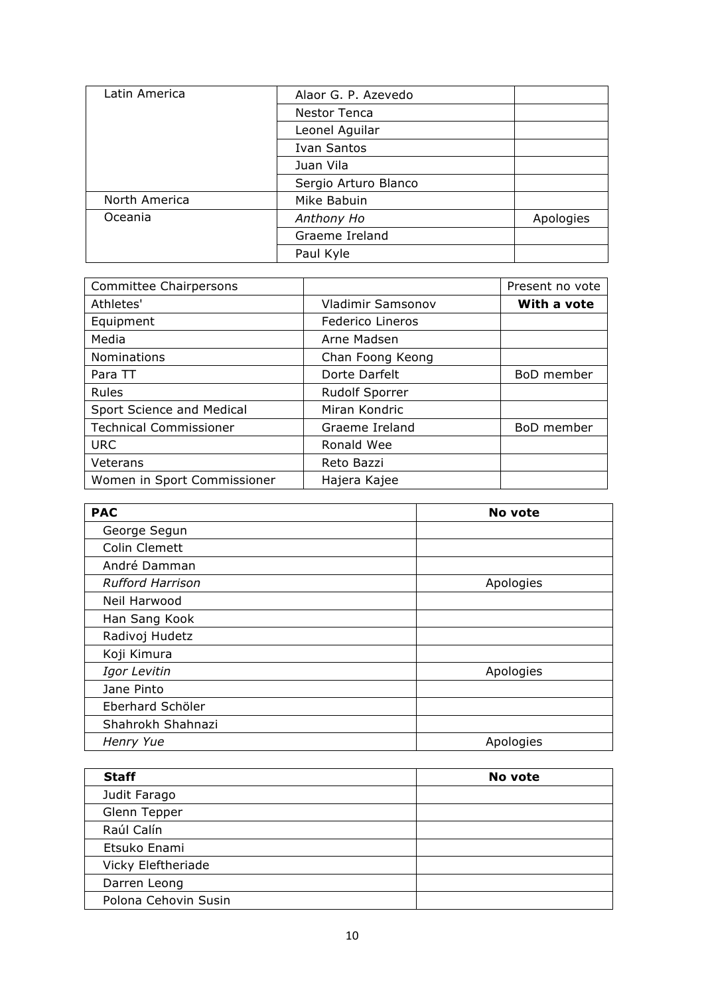| Latin America | Alaor G. P. Azevedo  |           |
|---------------|----------------------|-----------|
|               | Nestor Tenca         |           |
|               | Leonel Aguilar       |           |
|               | <b>Ivan Santos</b>   |           |
|               | Juan Vila            |           |
|               | Sergio Arturo Blanco |           |
| North America | Mike Babuin          |           |
| Oceania       | Anthony Ho           | Apologies |
|               | Graeme Ireland       |           |
|               | Paul Kyle            |           |

| <b>Committee Chairpersons</b> |                         | Present no vote |
|-------------------------------|-------------------------|-----------------|
| Athletes'                     | Vladimir Samsonov       | With a vote     |
| Equipment                     | <b>Federico Lineros</b> |                 |
| Media                         | Arne Madsen             |                 |
| Nominations                   | Chan Foong Keong        |                 |
| Para TT                       | Dorte Darfelt           | BoD member      |
| Rules                         | <b>Rudolf Sporrer</b>   |                 |
| Sport Science and Medical     | Miran Kondric           |                 |
| <b>Technical Commissioner</b> | Graeme Ireland          | BoD member      |
| <b>URC</b>                    | Ronald Wee              |                 |
| Veterans                      | Reto Bazzi              |                 |
| Women in Sport Commissioner   | Hajera Kajee            |                 |

| <b>PAC</b>              | No vote   |
|-------------------------|-----------|
| George Segun            |           |
| Colin Clemett           |           |
| André Damman            |           |
| <b>Rufford Harrison</b> | Apologies |
| Neil Harwood            |           |
| Han Sang Kook           |           |
| Radivoj Hudetz          |           |
| Koji Kimura             |           |
| Igor Levitin            | Apologies |
| Jane Pinto              |           |
| Eberhard Schöler        |           |
| Shahrokh Shahnazi       |           |
| Henry Yue               | Apologies |

| <b>Staff</b>         | No vote |
|----------------------|---------|
| Judit Farago         |         |
| Glenn Tepper         |         |
| Raúl Calín           |         |
| Etsuko Enami         |         |
| Vicky Eleftheriade   |         |
| Darren Leong         |         |
| Polona Cehovin Susin |         |